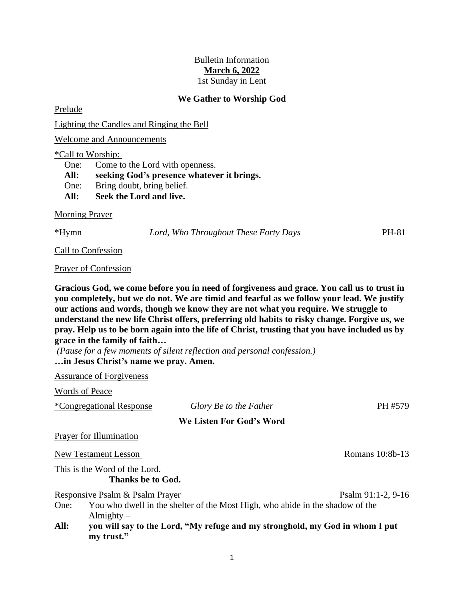## Bulletin Information **March 6, 2022** 1st Sunday in Lent

## **We Gather to Worship God**

Prelude

Lighting the Candles and Ringing the Bell

Welcome and Announcements

#### \*Call to Worship:

One: Come to the Lord with openness. **All: seeking God's presence whatever it brings.** One: Bring doubt, bring belief. **All: Seek the Lord and live.**

Morning Prayer

\*Hymn *Lord, Who Throughout These Forty Days* PH-81

Call to Confession

Prayer of Confession

**Gracious God, we come before you in need of forgiveness and grace. You call us to trust in you completely, but we do not. We are timid and fearful as we follow your lead. We justify our actions and words, though we know they are not what you require. We struggle to understand the new life Christ offers, preferring old habits to risky change. Forgive us, we pray. Help us to be born again into the life of Christ, trusting that you have included us by grace in the family of faith…**

*(Pause for a few moments of silent reflection and personal confession.)* **…in Jesus Christ's name we pray. Amen.**

Assurance of Forgiveness

Words of Peace

\*Congregational Response *Glory Be to the Father* PH #579 **We Listen For God's Word** Prayer for Illumination New Testament Lesson Romans 10:8b-13 This is the Word of the Lord. **Thanks be to God.** Responsive Psalm & Psalm Prayer Psalm 91:1-2, 9-16 One: You who dwell in the shelter of the Most High, who abide in the shadow of the Almighty –

**All: you will say to the Lord, "My refuge and my stronghold, my God in whom I put my trust."**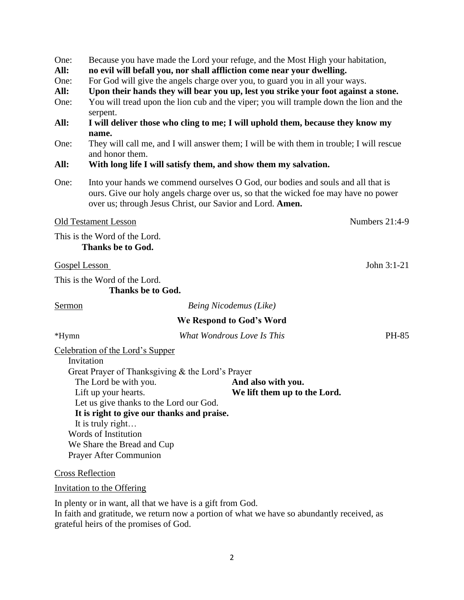| One: |  |  |  | Because you have made the Lord your refuge, and the Most High your habitation, |
|------|--|--|--|--------------------------------------------------------------------------------|
|      |  |  |  |                                                                                |

- **All: no evil will befall you, nor shall affliction come near your dwelling.**
- One: For God will give the angels charge over you, to guard you in all your ways.
- **All: Upon their hands they will bear you up, lest you strike your foot against a stone.**
- One: You will tread upon the lion cub and the viper; you will trample down the lion and the serpent.
- **All: I will deliver those who cling to me; I will uphold them, because they know my name.**
- One: They will call me, and I will answer them; I will be with them in trouble; I will rescue and honor them.

## **All: With long life I will satisfy them, and show them my salvation.**

One: Into your hands we commend ourselves O God, our bodies and souls and all that is ours. Give our holy angels charge over us, so that the wicked foe may have no power over us; through Jesus Christ, our Savior and Lord. **Amen.**

## Old Testament Lesson Numbers 21:4-9

This is the Word of the Lord. **Thanks be to God.**

### Gospel Lesson John 3:1-21

This is the Word of the Lord. **Thanks be to God.**

Sermon *Being Nicodemus (Like)*

# **We Respond to God's Word**

\*Hymn *What Wondrous Love Is This* PH-85

Celebration of the Lord's Supper

| Invitation                                       |                              |
|--------------------------------------------------|------------------------------|
| Great Prayer of Thanksgiving & the Lord's Prayer |                              |
| The Lord be with you.                            | And also with you.           |
| Lift up your hearts.                             | We lift them up to the Lord. |
| Let us give thanks to the Lord our God.          |                              |
| It is right to give our thanks and praise.       |                              |
| It is truly right                                |                              |
| Words of Institution                             |                              |
| We Share the Bread and Cup                       |                              |
| <b>Prayer After Communion</b>                    |                              |

Cross Reflection

Invitation to the Offering

In plenty or in want, all that we have is a gift from God. In faith and gratitude, we return now a portion of what we have so abundantly received, as grateful heirs of the promises of God.